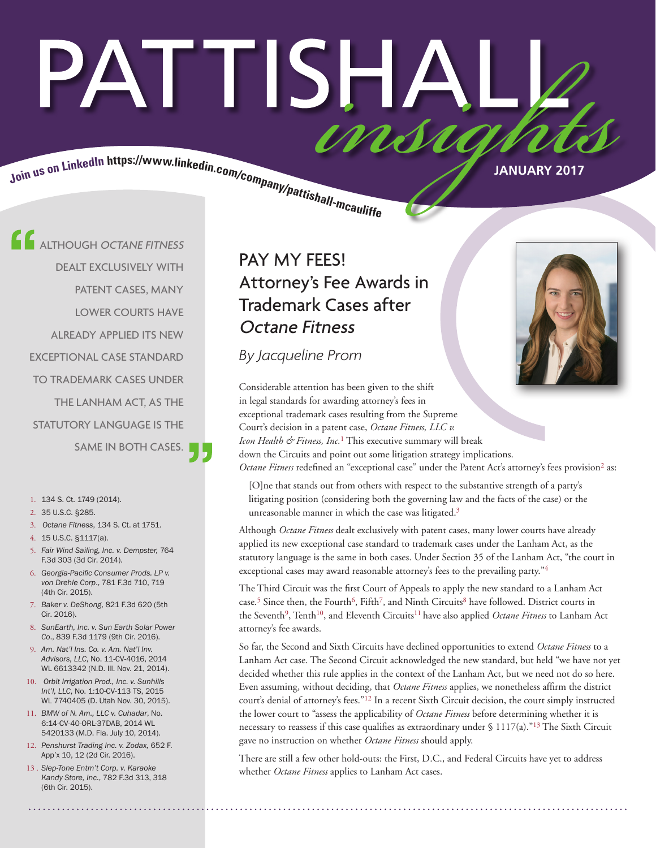# PATTISHAI insu

Join us on LinkedIn https://www.linkedin.com/company/pattishall-measures

**ALTHOUGH OCTANE FITNESS** DEALT EXCLUSIVELY WITH PATENT CASES, MANY LOWER COURTS HAVE ALREADY APPLIED ITS NEW EXCEPTIONAL CASE STANDARD TO TRADEMARK CASES UNDER THE LANHAM ACT, AS THE STATUTORY LANGUAGE IS THE SAME IN BOTH CASES.

- 1. 134 S. Ct. 1749 (2014).
- 2. 35 U.S.C. §285.
- 3. *Octane Fitness*, 134 S. Ct. at 1751.
- 4. 15 U.S.C. §1117(a).
- 5. *Fair Wind Sailing, Inc. v. Dempster,* 764 F.3d 303 (3d Cir. 2014).
- 6. *Georgia-Pacific Consumer Prods. LP v. von Drehle Corp*., 781 F.3d 710, 719 (4th Cir. 2015).
- 7. *Baker v. DeShong*, 821 F.3d 620 (5th Cir. 2016).
- 8. *SunEarth, Inc. v. Sun Earth Solar Power Co*., 839 F.3d 1179 (9th Cir. 2016).
- 9. *Am. Nat'l Ins. Co. v. Am. Nat'l Inv. Advisors, LLC*, No. 11-CV-4016, 2014 WL 6613342 (N.D. Ill. Nov. 21, 2014).
- 10. *Orbit Irrigation Prod., Inc. v. Sunhills Int'l, LLC*, No. 1:10-CV-113 TS, 2015 WL 7740405 (D. Utah Nov. 30, 2015).
- 11. *BMW of N. Am., LLC v. Cuhadar*, No. 6:14-CV-40-ORL-37DAB, 2014 WL 5420133 (M.D. Fla. July 10, 2014).
- 12. *Penshurst Trading Inc. v. Zodax,* 652 F. App'x 10, 12 (2d Cir. 2016).
- 13 . *Slep-Tone Entm't Corp. v. Karaoke Kandy Store, Inc*., 782 F.3d 313, 318 (6th Cir. 2015).

## PAY MY FEES! Attorney's Fee Awards in Trademark Cases after Octane Fitness

*By Jacqueline Prom*



Considerable attention has been given to the shift in legal standards for awarding attorney's fees in exceptional trademark cases resulting from the Supreme Court's decision in a patent case, *Octane Fitness, LLC v. Icon Health & Fitness, Inc.*1 This executive summary will break down the Circuits and point out some litigation strategy implications. *Octane Fitness* redefined an "exceptional case" under the Patent Act's attorney's fees provision<sup>2</sup> as:

[O]ne that stands out from others with respect to the substantive strength of a party's litigating position (considering both the governing law and the facts of the case) or the unreasonable manner in which the case was litigated.<sup>3</sup>

Although *Octane Fitness* dealt exclusively with patent cases, many lower courts have already applied its new exceptional case standard to trademark cases under the Lanham Act, as the statutory language is the same in both cases. Under Section 35 of the Lanham Act, "the court in exceptional cases may award reasonable attorney's fees to the prevailing party."4

The Third Circuit was the first Court of Appeals to apply the new standard to a Lanham Act case.<sup>5</sup> Since then, the Fourth<sup>6</sup>, Fifth<sup>7</sup>, and Ninth Circuits<sup>8</sup> have followed. District courts in the Seventh<sup>9</sup>, Tenth<sup>10</sup>, and Eleventh Circuits<sup>11</sup> have also applied *Octane Fitness* to Lanham Act attorney's fee awards.

So far, the Second and Sixth Circuits have declined opportunities to extend *Octane Fitness* to a Lanham Act case. The Second Circuit acknowledged the new standard, but held "we have not yet decided whether this rule applies in the context of the Lanham Act, but we need not do so here. Even assuming, without deciding, that *Octane Fitness* applies, we nonetheless affirm the district court's denial of attorney's fees."12 In a recent Sixth Circuit decision, the court simply instructed the lower court to "assess the applicability of *Octane Fitness* before determining whether it is necessary to reassess if this case qualifies as extraordinary under  $\S 1117(a)$ ."<sup>13</sup> The Sixth Circuit gave no instruction on whether *Octane Fitness* should apply.

There are still a few other hold-outs: the First, D.C., and Federal Circuits have yet to address whether *Octane Fitness* applies to Lanham Act cases.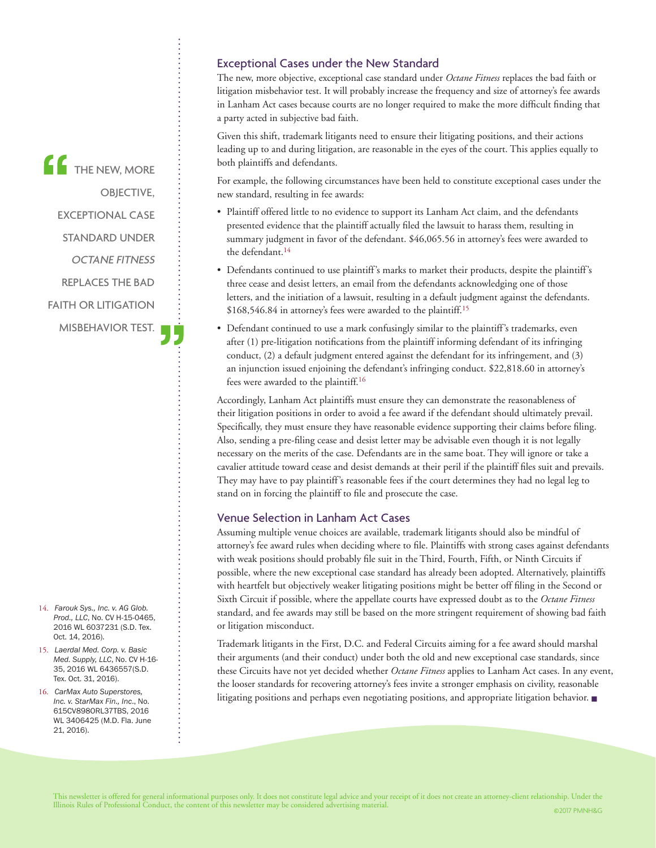THE NEW, MORE OBJECTIVE, EXCEPTIONAL CASE STANDARD UNDER OCTANE FITNESS REPLACES THE BAD FAITH OR LITIGATION MISBEHAVIOR TEST. Exceptional Cases under the New Standard

The new, more objective, exceptional case standard under *Octane Fitness* replaces the bad faith or litigation misbehavior test. It will probably increase the frequency and size of attorney's fee awards in Lanham Act cases because courts are no longer required to make the more difficult finding that a party acted in subjective bad faith.

Given this shift, trademark litigants need to ensure their litigating positions, and their actions leading up to and during litigation, are reasonable in the eyes of the court. This applies equally to both plaintiffs and defendants.

For example, the following circumstances have been held to constitute exceptional cases under the new standard, resulting in fee awards:

- Plaintiff offered little to no evidence to support its Lanham Act claim, and the defendants presented evidence that the plaintiff actually filed the lawsuit to harass them, resulting in summary judgment in favor of the defendant. \$46,065.56 in attorney's fees were awarded to the defendant.14
- Defendants continued to use plaintiff's marks to market their products, despite the plaintiff's three cease and desist letters, an email from the defendants acknowledging one of those letters, and the initiation of a lawsuit, resulting in a default judgment against the defendants. \$168,546.84 in attorney's fees were awarded to the plaintiff.15
- Defendant continued to use a mark confusingly similar to the plaintiff's trademarks, even after (1) pre-litigation notifications from the plaintiff informing defendant of its infringing conduct, (2) a default judgment entered against the defendant for its infringement, and (3) an injunction issued enjoining the defendant's infringing conduct. \$22,818.60 in attorney's fees were awarded to the plaintiff.16

Accordingly, Lanham Act plaintiffs must ensure they can demonstrate the reasonableness of their litigation positions in order to avoid a fee award if the defendant should ultimately prevail. Specifically, they must ensure they have reasonable evidence supporting their claims before filing. Also, sending a pre-filing cease and desist letter may be advisable even though it is not legally necessary on the merits of the case. Defendants are in the same boat. They will ignore or take a cavalier attitude toward cease and desist demands at their peril if the plaintiff files suit and prevails. They may have to pay plaintiff's reasonable fees if the court determines they had no legal leg to stand on in forcing the plaintiff to file and prosecute the case.

#### Venue Selection in Lanham Act Cases

Assuming multiple venue choices are available, trademark litigants should also be mindful of attorney's fee award rules when deciding where to file. Plaintiffs with strong cases against defendants with weak positions should probably file suit in the Third, Fourth, Fifth, or Ninth Circuits if possible, where the new exceptional case standard has already been adopted. Alternatively, plaintiffs with heartfelt but objectively weaker litigating positions might be better off filing in the Second or Sixth Circuit if possible, where the appellate courts have expressed doubt as to the *Octane Fitness*  standard, and fee awards may still be based on the more stringent requirement of showing bad faith or litigation misconduct.

Trademark litigants in the First, D.C. and Federal Circuits aiming for a fee award should marshal their arguments (and their conduct) under both the old and new exceptional case standards, since these Circuits have not yet decided whether *Octane Fitness* applies to Lanham Act cases. In any event, the looser standards for recovering attorney's fees invite a stronger emphasis on civility, reasonable litigating positions and perhaps even negotiating positions, and appropriate litigation behavior. ■

- 14. *Farouk Sys., Inc. v. AG Glob. Prod., LLC*, No. CV H-15-0465, 2016 WL 6037231 (S.D. Tex. Oct. 14, 2016).
- 15. *Laerdal Med. Corp. v. Basic Med. Supply, LLC*, No. CV H-16- 35, 2016 WL 6436557(S.D. Tex. Oct. 31, 2016).
- 16. *CarMax Auto Superstores, Inc. v. StarMax Fin., Inc*., No. 615CV898ORL37TBS, 2016 WL 3406425 (M.D. Fla. June 21, 2016).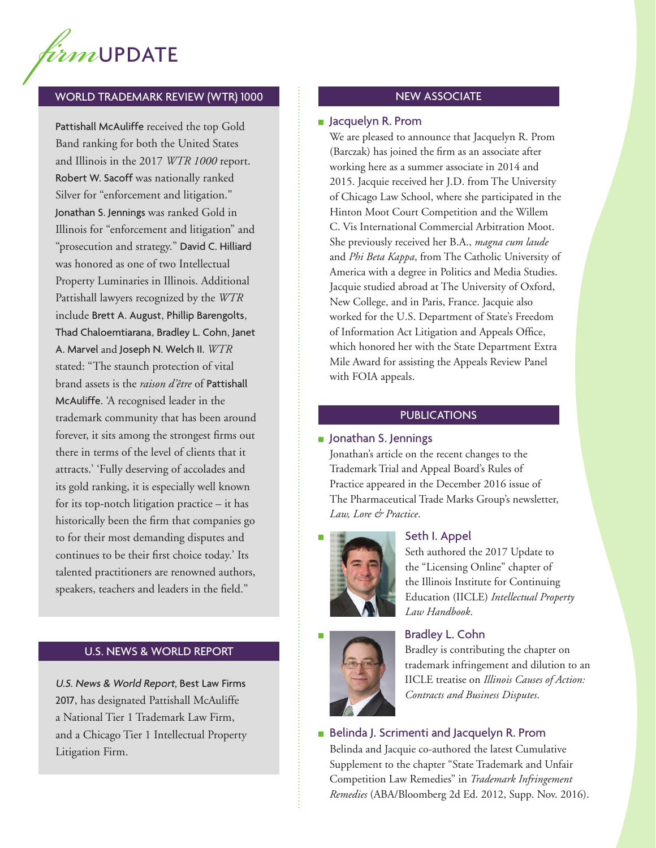

#### WORLD TRADEMARK REVIEW (WTR) 1000

Pattishall McAuliffe received the top Gold Band ranking for both the United States and Illinois in the 2017 *WTR 1000* report. Robert W. Sacoff was nationally ranked Silver for "enforcement and litigation." Jonathan S. Jennings was ranked Gold in Illinois for "enforcement and litigation" and "prosecution and strategy." David C. Hilliard was honored as one of two Intellectual Property Luminaries in Illinois. Additional Pattishall lawyers recognized by the *WTR* include Brett A. August, Phillip Barengolts, Thad Chaloemtiarana, Bradley L. Cohn, Janet A. Marvel and Joseph N. Welch II. *WTR* stated: "The staunch protection of vital brand assets is the *raison d'être* of Pattishall McAuliffe. 'A recognised leader in the trademark community that has been around forever, it sits among the strongest firms out there in terms of the level of clients that it attracts.' 'Fully deserving of accolades and its gold ranking, it is especially well known for its top-notch litigation practice – it has historically been the firm that companies go to for their most demanding disputes and continues to be their first choice today.' Its talented practitioners are renowned authors, speakers, teachers and leaders in the field."

#### U.S. NEWS & WORLD REPORT

U.S. News & World Report, Best Law Firms 2017, has designated Pattishall McAuliffe a National Tier 1 Trademark Law Firm, and a Chicago Tier 1 Intellectual Property Litigation Firm.

#### NEW ASSOCIATE

#### ■ Jacquelyn R. Prom

We are pleased to announce that Jacquelyn R. Prom (Barczak) has joined the firm as an associate after working here as a summer associate in 2014 and 2015. Jacquie received her J.D. from The University of Chicago Law School, where she participated in the Hinton Moot Court Competition and the Willem C. Vis International Commercial Arbitration Moot. She previously received her B.A., *magna cum laude* and *Phi Beta Kappa*, from The Catholic University of America with a degree in Politics and Media Studies. Jacquie studied abroad at The University of Oxford, New College, and in Paris, France. Jacquie also worked for the U.S. Department of State's Freedom of Information Act Litigation and Appeals Office, which honored her with the State Department Extra Mile Award for assisting the Appeals Review Panel with FOIA appeals.

#### **PUBLICATIONS**

#### ■ Jonathan S. Jennings

Jonathan's article on the recent changes to the Trademark Trial and Appeal Board's Rules of Practice appeared in the December 2016 issue of The Pharmaceutical Trade Marks Group's newsletter, *Law, Lore & Practice*.



#### Seth I. Appel

Seth authored the 2017 Update to the "Licensing Online" chapter of the Illinois Institute for Continuing Education (IICLE) *Intellectual Property Law Handbook*.



### **Bradley L. Cohn**

Bradley is contributing the chapter on trademark infringement and dilution to an IICLE treatise on *Illinois Causes of Action: Contracts and Business Disputes*.

■ Belinda J. Scrimenti and Jacquelyn R. Prom

Belinda and Jacquie co-authored the latest Cumulative Supplement to the chapter "State Trademark and Unfair Competition Law Remedies" in *Trademark Infringement Remedies* (ABA/Bloomberg 2d Ed. 2012, Supp. Nov. 2016).